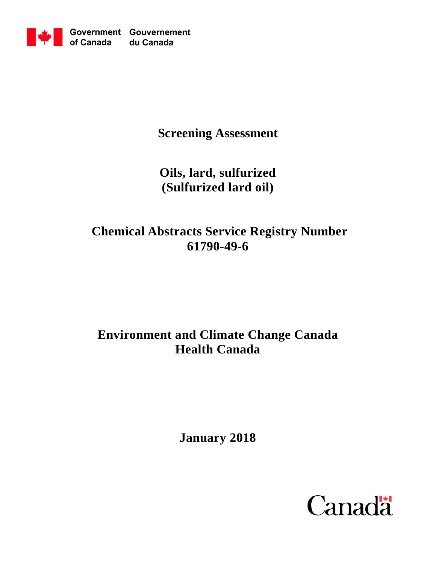

**Screening Assessment**

**Oils, lard, sulfurized (Sulfurized lard oil)**

# **Chemical Abstracts Service Registry Number 61790-49-6**

# **Environment and Climate Change Canada Health Canada**

**January 2018**

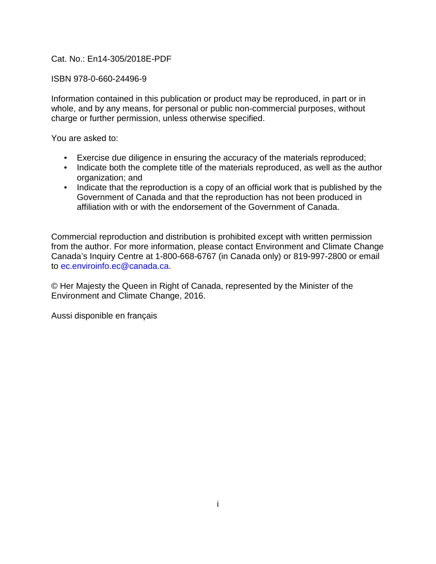### Cat. No.: En14-305/2018E-PDF

#### ISBN 978-0-660-24496-9

Information contained in this publication or product may be reproduced, in part or in whole, and by any means, for personal or public non-commercial purposes, without charge or further permission, unless otherwise specified.

You are asked to:

- Exercise due diligence in ensuring the accuracy of the materials reproduced;
- Indicate both the complete title of the materials reproduced, as well as the author organization; and
- Indicate that the reproduction is a copy of an official work that is published by the Government of Canada and that the reproduction has not been produced in affiliation with or with the endorsement of the Government of Canada.

Commercial reproduction and distribution is prohibited except with written permission from the author. For more information, please contact Environment and Climate Change Canada's Inquiry Centre at 1-800-668-6767 (in Canada only) or 819-997-2800 or email to [ec.enviroinfo.ec@canada.ca.](mailto:ec.enviroinfo.ec@canada.ca)

© Her Majesty the Queen in Right of Canada, represented by the Minister of the Environment and Climate Change, 2016.

Aussi disponible en français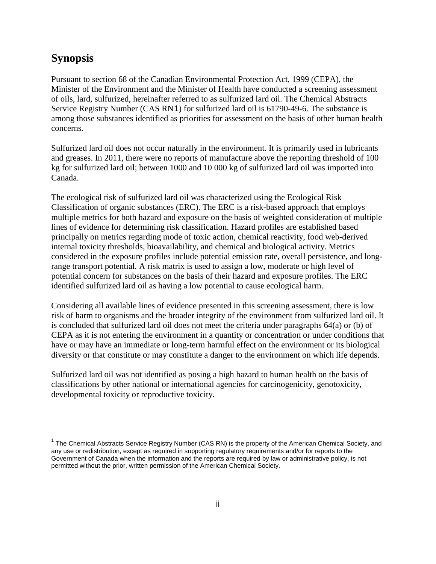# **Synopsis**

 $\overline{a}$ 

Pursuant to section 68 of the Canadian Environmental Protection Act, 1999 (CEPA), the Minister of the Environment and the Minister of Health have conducted a screening assessment of oils, lard, sulfurized, hereinafter referred to as sulfurized lard oil. The Chemical Abstracts Service Registry Number (CAS RN[1](#page-2-0)) for sulfurized lard oil is 61790-49-6. The substance is among those substances identified as priorities for assessment on the basis of other human health concerns.

Sulfurized lard oil does not occur naturally in the environment. It is primarily used in lubricants and greases. In 2011, there were no reports of manufacture above the reporting threshold of 100 kg for sulfurized lard oil; between 1000 and 10 000 kg of sulfurized lard oil was imported into Canada.

The ecological risk of sulfurized lard oil was characterized using the Ecological Risk Classification of organic substances (ERC). The ERC is a risk-based approach that employs multiple metrics for both hazard and exposure on the basis of weighted consideration of multiple lines of evidence for determining risk classification. Hazard profiles are established based principally on metrics regarding mode of toxic action, chemical reactivity, food web-derived internal toxicity thresholds, bioavailability, and chemical and biological activity. Metrics considered in the exposure profiles include potential emission rate, overall persistence, and longrange transport potential. A risk matrix is used to assign a low, moderate or high level of potential concern for substances on the basis of their hazard and exposure profiles. The ERC identified sulfurized lard oil as having a low potential to cause ecological harm.

Considering all available lines of evidence presented in this screening assessment, there is low risk of harm to organisms and the broader integrity of the environment from sulfurized lard oil. It is concluded that sulfurized lard oil does not meet the criteria under paragraphs 64(a) or (b) of CEPA as it is not entering the environment in a quantity or concentration or under conditions that have or may have an immediate or long-term harmful effect on the environment or its biological diversity or that constitute or may constitute a danger to the environment on which life depends.

Sulfurized lard oil was not identified as posing a high hazard to human health on the basis of classifications by other national or international agencies for carcinogenicity, genotoxicity, developmental toxicity or reproductive toxicity.

<span id="page-2-0"></span><sup>&</sup>lt;sup>1</sup> The Chemical Abstracts Service Registry Number (CAS RN) is the property of the American Chemical Society, and any use or redistribution, except as required in supporting regulatory requirements and/or for reports to the Government of Canada when the information and the reports are required by law or administrative policy, is not permitted without the prior, written permission of the American Chemical Society.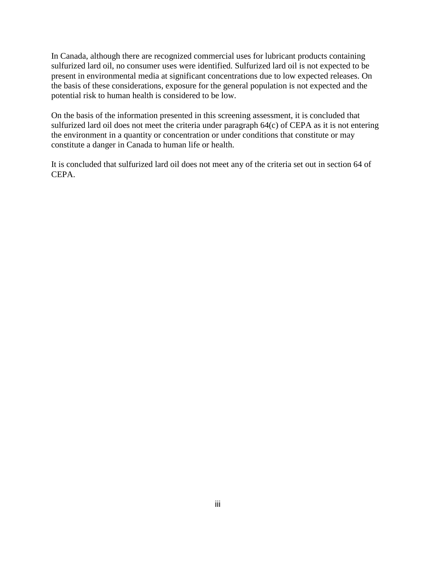In Canada, although there are recognized commercial uses for lubricant products containing sulfurized lard oil, no consumer uses were identified. Sulfurized lard oil is not expected to be present in environmental media at significant concentrations due to low expected releases. On the basis of these considerations, exposure for the general population is not expected and the potential risk to human health is considered to be low.

On the basis of the information presented in this screening assessment, it is concluded that sulfurized lard oil does not meet the criteria under paragraph 64(c) of CEPA as it is not entering the environment in a quantity or concentration or under conditions that constitute or may constitute a danger in Canada to human life or health.

It is concluded that sulfurized lard oil does not meet any of the criteria set out in section 64 of CEPA.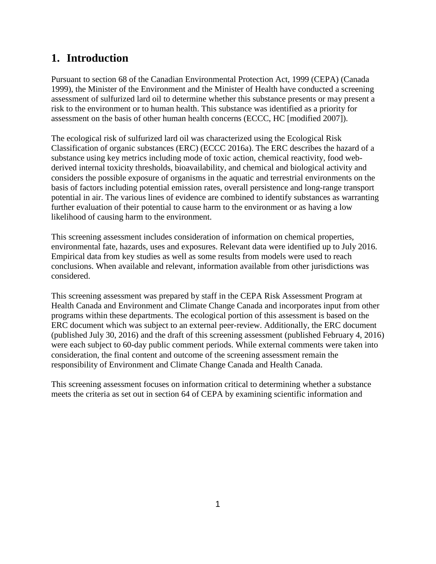# **1. Introduction**

Pursuant to section 68 of the Canadian Environmental Protection Act, 1999 (CEPA) (Canada 1999), the Minister of the Environment and the Minister of Health have conducted a screening assessment of sulfurized lard oil to determine whether this substance presents or may present a risk to the environment or to human health. This substance was identified as a priority for assessment on the basis of other human health concerns (ECCC, HC [modified 2007]).

The ecological risk of sulfurized lard oil was characterized using the Ecological Risk Classification of organic substances (ERC) (ECCC 2016a). The ERC describes the hazard of a substance using key metrics including mode of toxic action, chemical reactivity, food webderived internal toxicity thresholds, bioavailability, and chemical and biological activity and considers the possible exposure of organisms in the aquatic and terrestrial environments on the basis of factors including potential emission rates, overall persistence and long-range transport potential in air. The various lines of evidence are combined to identify substances as warranting further evaluation of their potential to cause harm to the environment or as having a low likelihood of causing harm to the environment.

This screening assessment includes consideration of information on chemical properties, environmental fate, hazards, uses and exposures. Relevant data were identified up to July 2016. Empirical data from key studies as well as some results from models were used to reach conclusions. When available and relevant, information available from other jurisdictions was considered.

This screening assessment was prepared by staff in the CEPA Risk Assessment Program at Health Canada and Environment and Climate Change Canada and incorporates input from other programs within these departments. The ecological portion of this assessment is based on the ERC document which was subject to an external peer-review. Additionally, the ERC document (published July 30, 2016) and the draft of this screening assessment (published February 4, 2016) were each subject to 60-day public comment periods. While external comments were taken into consideration, the final content and outcome of the screening assessment remain the responsibility of Environment and Climate Change Canada and Health Canada.

This screening assessment focuses on information critical to determining whether a substance meets the criteria as set out in section 64 of CEPA by examining scientific information and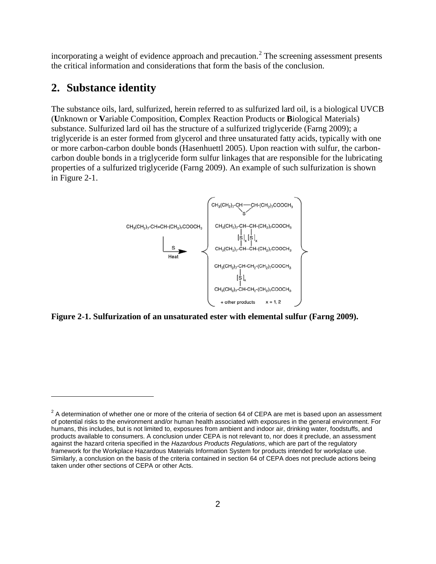incorporating a weight of evidence approach and precaution.<sup>[2](#page-5-0)</sup> The screening assessment presents the critical information and considerations that form the basis of the conclusion.

### **2. Substance identity**

 $\overline{a}$ 

The substance oils, lard, sulfurized, herein referred to as sulfurized lard oil, is a biological UVCB (**U**nknown or **V**ariable Composition, **C**omplex Reaction Products or **B**iological Materials) substance. Sulfurized lard oil has the structure of a sulfurized triglyceride (Farng 2009); a triglyceride is an ester formed from glycerol and three unsaturated fatty acids, typically with one or more carbon-carbon double bonds (Hasenhuettl 2005). Upon reaction with sulfur, the carboncarbon double bonds in a triglyceride form sulfur linkages that are responsible for the lubricating properties of a sulfurized triglyceride (Farng 2009). An example of such sulfurization is shown in Figure 2-1.



**Figure 2-1. Sulfurization of an unsaturated ester with elemental sulfur (Farng 2009).**

<span id="page-5-0"></span> $2$  A determination of whether one or more of the criteria of section 64 of CEPA are met is based upon an assessment of potential risks to the environment and/or human health associated with exposures in the general environment. For humans, this includes, but is not limited to, exposures from ambient and indoor air, drinking water, foodstuffs, and products available to consumers. A conclusion under CEPA is not relevant to, nor does it preclude, an assessment against the hazard criteria specified in the *Hazardous Products Regulations*, which are part of the regulatory framework for the Workplace Hazardous Materials Information System for products intended for workplace use. Similarly, a conclusion on the basis of the criteria contained in section 64 of CEPA does not preclude actions being taken under other sections of CEPA or other Acts.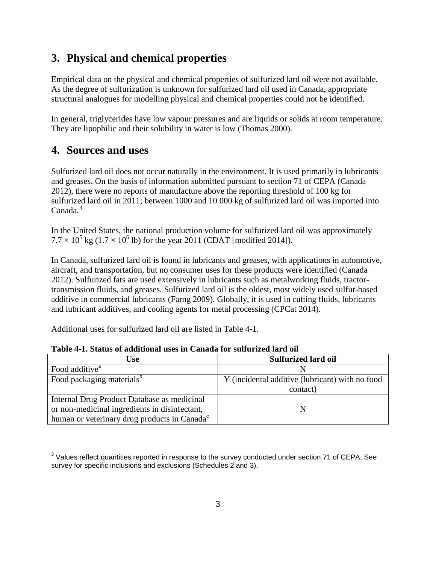## **3. Physical and chemical properties**

Empirical data on the physical and chemical properties of sulfurized lard oil were not available. As the degree of sulfurization is unknown for sulfurized lard oil used in Canada, appropriate structural analogues for modelling physical and chemical properties could not be identified.

In general, triglycerides have low vapour pressures and are liquids or solids at room temperature. They are lipophilic and their solubility in water is low (Thomas 2000).

### **4. Sources and uses**

 $\overline{a}$ 

Sulfurized lard oil does not occur naturally in the environment. It is used primarily in lubricants and greases. On the basis of information submitted pursuant to section 71 of CEPA (Canada 2012), there were no reports of manufacture above the reporting threshold of 100 kg for sulfurized lard oil in 2011; between 1000 and 10 000 kg of sulfurized lard oil was imported into Canada.<sup>[3](#page-6-1)</sup>

In the United States, the national production volume for sulfurized lard oil was approximately  $7.7 \times 10^5$  kg (1.7  $\times 10^6$  lb) for the year 2011 (CDAT [modified 2014]).

In Canada, sulfurized lard oil is found in lubricants and greases, with applications in automotive, aircraft, and transportation, but no consumer uses for these products were identified (Canada 2012). Sulfurized fats are used extensively in lubricants such as metalworking fluids, tractortransmission fluids, and greases. Sulfurized lard oil is the oldest, most widely used sulfur-based additive in commercial lubricants (Farng 2009). Globally, it is used in cutting fluids, lubricants and lubricant additives, and cooling agents for metal processing (CPCat 2014).

Additional uses for sulfurized lard oil are listed in [Table 4-1.](#page-6-0)

| <b>Use</b>                                               | <b>Sulfurized lard oil</b>                      |
|----------------------------------------------------------|-------------------------------------------------|
| Food additive <sup>a</sup>                               |                                                 |
| Food packaging materials <sup>b</sup>                    | Y (incidental additive (lubricant) with no food |
|                                                          | contact)                                        |
| Internal Drug Product Database as medicinal              |                                                 |
| or non-medicinal ingredients in disinfectant,            |                                                 |
| human or veterinary drug products in Canada <sup>c</sup> |                                                 |

<span id="page-6-0"></span>**Table 4-1. Status of additional uses in Canada for sulfurized lard oil**

<span id="page-6-1"></span><sup>&</sup>lt;sup>3</sup> Values reflect quantities reported in response to the survey conducted under section 71 of CEPA. See survey for specific inclusions and exclusions (Schedules 2 and 3).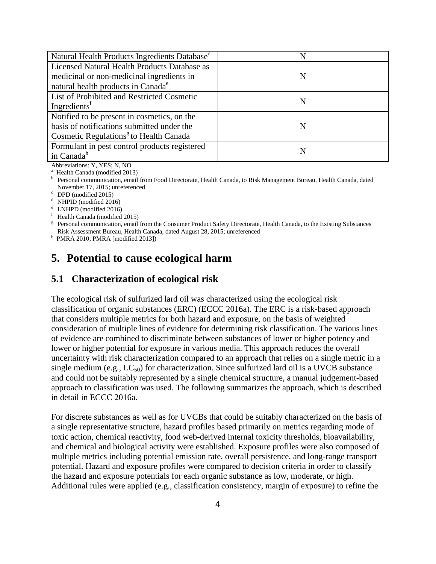| Natural Health Products Ingredients Database <sup>d</sup> | N |
|-----------------------------------------------------------|---|
| Licensed Natural Health Products Database as              |   |
| medicinal or non-medicinal ingredients in                 | N |
| natural health products in Canada <sup>e</sup>            |   |
| List of Prohibited and Restricted Cosmetic                | N |
| Ingredients <sup>†</sup>                                  |   |
| Notified to be present in cosmetics, on the               |   |
| basis of notifications submitted under the                | N |
| Cosmetic Regulations <sup>g</sup> to Health Canada        |   |
| Formulant in pest control products registered             |   |
| in Canada <sup>h</sup>                                    |   |

Abbreviations: Y, YES; N, NO<br><sup>a</sup> Health Canada (modified 2013)

<sup>b</sup> Personal communication, email from Food Directorate, Health Canada, to Risk Management Bureau, Health Canada, dated November 17, 2015; unreferenced<br>
C DPD (modified 2015)<br>
d NHPID (modified 2016)<br>
e LNHPD (modified 2016)<br>
f Health Canada (modified 2015)<br>
g Personal communication, email from the Consumer Product Safety Directorate, Healt

Risk Assessment Bureau, Health Canada, dated August 28, 2015; unreferenced h PMRA 2010; PMRA [modified 2013])

# **5. Potential to cause ecological harm**

### **5.1 Characterization of ecological risk**

The ecological risk of sulfurized lard oil was characterized using the ecological risk classification of organic substances (ERC) (ECCC 2016a). The ERC is a risk-based approach that considers multiple metrics for both hazard and exposure, on the basis of weighted consideration of multiple lines of evidence for determining risk classification. The various lines of evidence are combined to discriminate between substances of lower or higher potency and lower or higher potential for exposure in various media. This approach reduces the overall uncertainty with risk characterization compared to an approach that relies on a single metric in a single medium (e.g.,  $LC_{50}$ ) for characterization. Since sulfurized lard oil is a UVCB substance and could not be suitably represented by a single chemical structure, a manual judgement-based approach to classification was used. The following summarizes the approach, which is described in detail in ECCC 2016a.

For discrete substances as well as for UVCBs that could be suitably characterized on the basis of a single representative structure, hazard profiles based primarily on metrics regarding mode of toxic action, chemical reactivity, food web-derived internal toxicity thresholds, bioavailability, and chemical and biological activity were established. Exposure profiles were also composed of multiple metrics including potential emission rate, overall persistence, and long-range transport potential. Hazard and exposure profiles were compared to decision criteria in order to classify the hazard and exposure potentials for each organic substance as low, moderate, or high. Additional rules were applied (e.g., classification consistency, margin of exposure) to refine the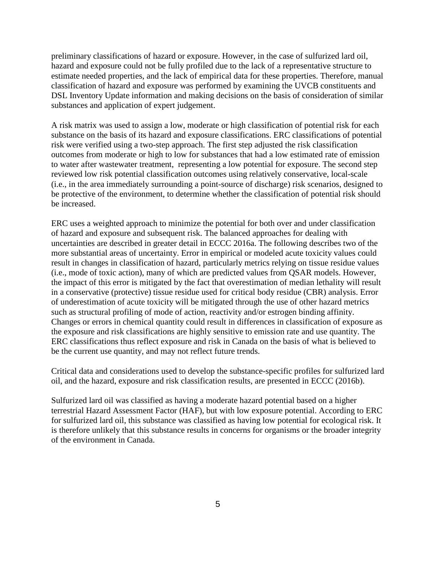preliminary classifications of hazard or exposure. However, in the case of sulfurized lard oil, hazard and exposure could not be fully profiled due to the lack of a representative structure to estimate needed properties, and the lack of empirical data for these properties. Therefore, manual classification of hazard and exposure was performed by examining the UVCB constituents and DSL Inventory Update information and making decisions on the basis of consideration of similar substances and application of expert judgement.

A risk matrix was used to assign a low, moderate or high classification of potential risk for each substance on the basis of its hazard and exposure classifications. ERC classifications of potential risk were verified using a two-step approach. The first step adjusted the risk classification outcomes from moderate or high to low for substances that had a low estimated rate of emission to water after wastewater treatment, representing a low potential for exposure. The second step reviewed low risk potential classification outcomes using relatively conservative, local-scale (i.e., in the area immediately surrounding a point-source of discharge) risk scenarios, designed to be protective of the environment, to determine whether the classification of potential risk should be increased.

ERC uses a weighted approach to minimize the potential for both over and under classification of hazard and exposure and subsequent risk. The balanced approaches for dealing with uncertainties are described in greater detail in ECCC 2016a. The following describes two of the more substantial areas of uncertainty. Error in empirical or modeled acute toxicity values could result in changes in classification of hazard, particularly metrics relying on tissue residue values (i.e., mode of toxic action), many of which are predicted values from QSAR models. However, the impact of this error is mitigated by the fact that overestimation of median lethality will result in a conservative (protective) tissue residue used for critical body residue (CBR) analysis. Error of underestimation of acute toxicity will be mitigated through the use of other hazard metrics such as structural profiling of mode of action, reactivity and/or estrogen binding affinity. Changes or errors in chemical quantity could result in differences in classification of exposure as the exposure and risk classifications are highly sensitive to emission rate and use quantity. The ERC classifications thus reflect exposure and risk in Canada on the basis of what is believed to be the current use quantity, and may not reflect future trends.

Critical data and considerations used to develop the substance-specific profiles for sulfurized lard oil, and the hazard, exposure and risk classification results, are presented in ECCC (2016b).

Sulfurized lard oil was classified as having a moderate hazard potential based on a higher terrestrial Hazard Assessment Factor (HAF), but with low exposure potential. According to ERC for sulfurized lard oil, this substance was classified as having low potential for ecological risk. It is therefore unlikely that this substance results in concerns for organisms or the broader integrity of the environment in Canada.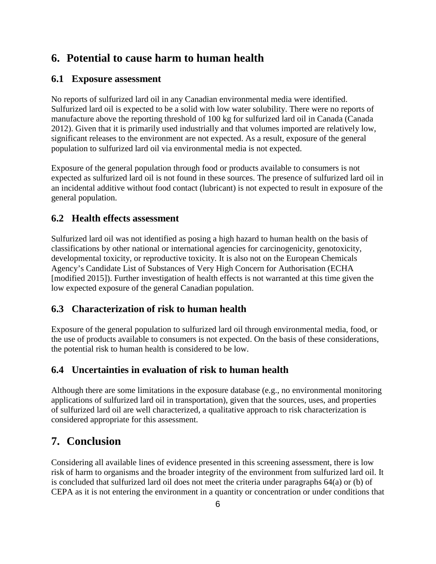### **6. Potential to cause harm to human health**

#### **6.1 Exposure assessment**

No reports of sulfurized lard oil in any Canadian environmental media were identified. Sulfurized lard oil is expected to be a solid with low water solubility. There were no reports of manufacture above the reporting threshold of 100 kg for sulfurized lard oil in Canada (Canada 2012). Given that it is primarily used industrially and that volumes imported are relatively low, significant releases to the environment are not expected. As a result, exposure of the general population to sulfurized lard oil via environmental media is not expected.

Exposure of the general population through food or products available to consumers is not expected as sulfurized lard oil is not found in these sources. The presence of sulfurized lard oil in an incidental additive without food contact (lubricant) is not expected to result in exposure of the general population.

#### **6.2 Health effects assessment**

Sulfurized lard oil was not identified as posing a high hazard to human health on the basis of classifications by other national or international agencies for carcinogenicity, genotoxicity, developmental toxicity, or reproductive toxicity. It is also not on the European Chemicals Agency's Candidate List of Substances of Very High Concern for Authorisation (ECHA [modified 2015]). Further investigation of health effects is not warranted at this time given the low expected exposure of the general Canadian population.

### **6.3 Characterization of risk to human health**

Exposure of the general population to sulfurized lard oil through environmental media, food, or the use of products available to consumers is not expected. On the basis of these considerations, the potential risk to human health is considered to be low.

### **6.4 Uncertainties in evaluation of risk to human health**

Although there are some limitations in the exposure database (e.g., no environmental monitoring applications of sulfurized lard oil in transportation), given that the sources, uses, and properties of sulfurized lard oil are well characterized, a qualitative approach to risk characterization is considered appropriate for this assessment.

### **7. Conclusion**

Considering all available lines of evidence presented in this screening assessment, there is low risk of harm to organisms and the broader integrity of the environment from sulfurized lard oil. It is concluded that sulfurized lard oil does not meet the criteria under paragraphs 64(a) or (b) of CEPA as it is not entering the environment in a quantity or concentration or under conditions that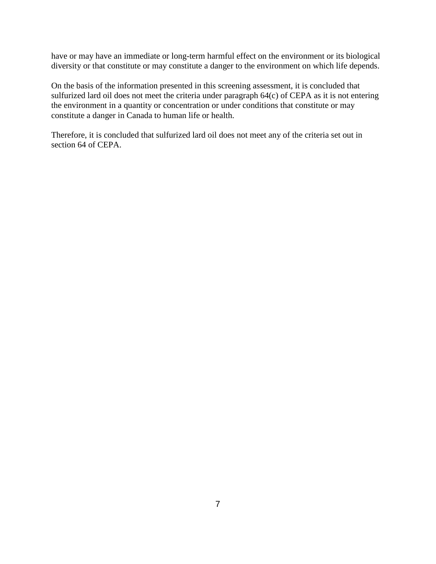have or may have an immediate or long-term harmful effect on the environment or its biological diversity or that constitute or may constitute a danger to the environment on which life depends.

On the basis of the information presented in this screening assessment, it is concluded that sulfurized lard oil does not meet the criteria under paragraph 64(c) of CEPA as it is not entering the environment in a quantity or concentration or under conditions that constitute or may constitute a danger in Canada to human life or health.

Therefore, it is concluded that sulfurized lard oil does not meet any of the criteria set out in section 64 of CEPA.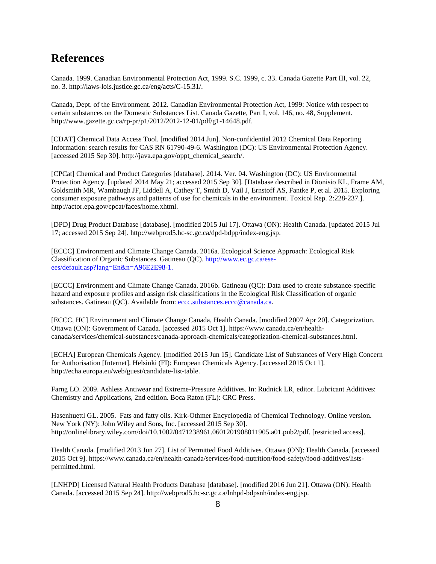### **References**

Canada. 1999. Canadian Environmental Protection Act, 1999. S.C. 1999, c. 33. Canada Gazette Part III, vol. 22, no. 3. http://laws-lois.justice.gc.ca/eng/acts/C-15.31/.

Canada, Dept. of the Environment. 2012. Canadian Environmental Protection Act, 1999: Notice with respect to certain substances on the Domestic Substances List. Canada Gazette, Part I, vol. 146, no. 48, Supplement. http://www.gazette.gc.ca/rp-pr/p1/2012/2012-12-01/pdf/g1-14648.pdf.

[CDAT] Chemical Data Access Tool. [modified 2014 Jun]. Non-confidential 2012 Chemical Data Reporting Information: search results for CAS RN 61790-49-6. Washington (DC): US Environmental Protection Agency. [accessed 2015 Sep 30]. http://java.epa.gov/oppt\_chemical\_search/.

[CPCat] Chemical and Product Categories [database]. 2014. Ver. 04. Washington (DC): US Environmental Protection Agency. [updated 2014 May 21; accessed 2015 Sep 30]. [Database described in Dionisio KL, Frame AM, Goldsmith MR, Wambaugh JF, Liddell A, Cathey T, Smith D, Vail J, Ernstoff AS, Fantke P, et al. 2015. Exploring consumer exposure pathways and patterns of use for chemicals in the environment. Toxicol Rep. 2:228-237.]. [http://actor.epa.gov/cpcat/faces/home.xhtml.](http://actor.epa.gov/cpcat/faces/home.xhtml)

[DPD] Drug Product Database [database]. [modified 2015 Jul 17]. Ottawa (ON): Health Canada. [updated 2015 Jul 17; accessed 2015 Sep 24]. http://webprod5.hc-sc.gc.ca/dpd-bdpp/index-eng.jsp.

[ECCC] Environment and Climate Change Canada. 2016a. Ecological Science Approach: Ecological Risk Classification of Organic Substances. Gatineau (QC). [http://www.ec.gc.ca/ese](http://www.ec.gc.ca/ese-ees/default.asp?lang=En&n=A96E2E98-1)[ees/default.asp?lang=En&n=A96E2E98-1.](http://www.ec.gc.ca/ese-ees/default.asp?lang=En&n=A96E2E98-1)

[ECCC] Environment and Climate Change Canada. 2016b. Gatineau (QC): Data used to create substance-specific hazard and exposure profiles and assign risk classifications in the Ecological Risk Classification of organic substances. Gatineau (QC). Available from: [eccc.substances.eccc@canada.ca](mailto:eccc.substances.eccc@canada.ca).

[ECCC, HC] Environment and Climate Change Canada, Health Canada. [modified 2007 Apr 20]. Categorization. Ottawa (ON): Government of Canada. [accessed 2015 Oct 1]. https://www.canada.ca/en/healthcanada/services/chemical-substances/canada-approach-chemicals/categorization-chemical-substances.html.

[ECHA] European Chemicals Agency. [modified 2015 Jun 15]. Candidate List of Substances of Very High Concern for Authorisation [Internet]. Helsinki (FI): European Chemicals Agency. [accessed 2015 Oct 1]. http://echa.europa.eu/web/guest/candidate-list-table.

Farng LO. 2009. Ashless Antiwear and Extreme-Pressure Additives. In: Rudnick LR, editor. Lubricant Additives: Chemistry and Applications, 2nd edition. Boca Raton (FL): CRC Press.

Hasenhuettl GL. 2005. Fats and fatty oils. Kirk-Othmer Encyclopedia of Chemical Technology. Online version. New York (NY): John Wiley and Sons, Inc. [accessed 2015 Sep 30]. http://onlinelibrary.wiley.com/doi/10.1002/0471238961.0601201908011905.a01.pub2/pdf. [restricted access].

Health Canada. [modified 2013 Jun 27]. List of Permitted Food Additives. Ottawa (ON): Health Canada. [accessed 2015 Oct 9]. https://www.canada.ca/en/health-canada/services/food-nutrition/food-safety/food-additives/listspermitted.html.

[LNHPD] Licensed Natural Health Products Database [database]. [modified 2016 Jun 21]. Ottawa (ON): Health Canada. [accessed 2015 Sep 24]. http://webprod5.hc-sc.gc.ca/lnhpd-bdpsnh/index-eng.jsp.